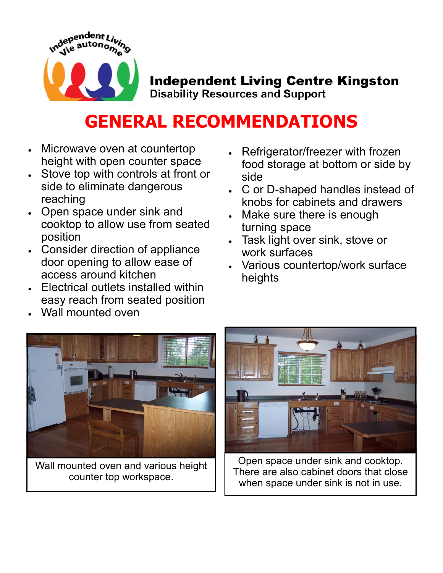

## **Independent Living Centre Kingston**

**Disability Resources and Support** 

## **GENERAL RECOMMENDATIONS**

- Microwave oven at countertop height with open counter space
- Stove top with controls at front or side to eliminate dangerous reaching
- Open space under sink and cooktop to allow use from seated position
- Consider direction of appliance door opening to allow ease of access around kitchen
- Electrical outlets installed within easy reach from seated position
- Wall mounted oven
- Refrigerator/freezer with frozen food storage at bottom or side by side
- C or D-shaped handles instead of knobs for cabinets and drawers
- Make sure there is enough turning space
- Task light over sink, stove or work surfaces
- Various countertop/work surface heights



Wall mounted oven and various height counter top workspace.



Open space under sink and cooktop. There are also cabinet doors that close when space under sink is not in use.